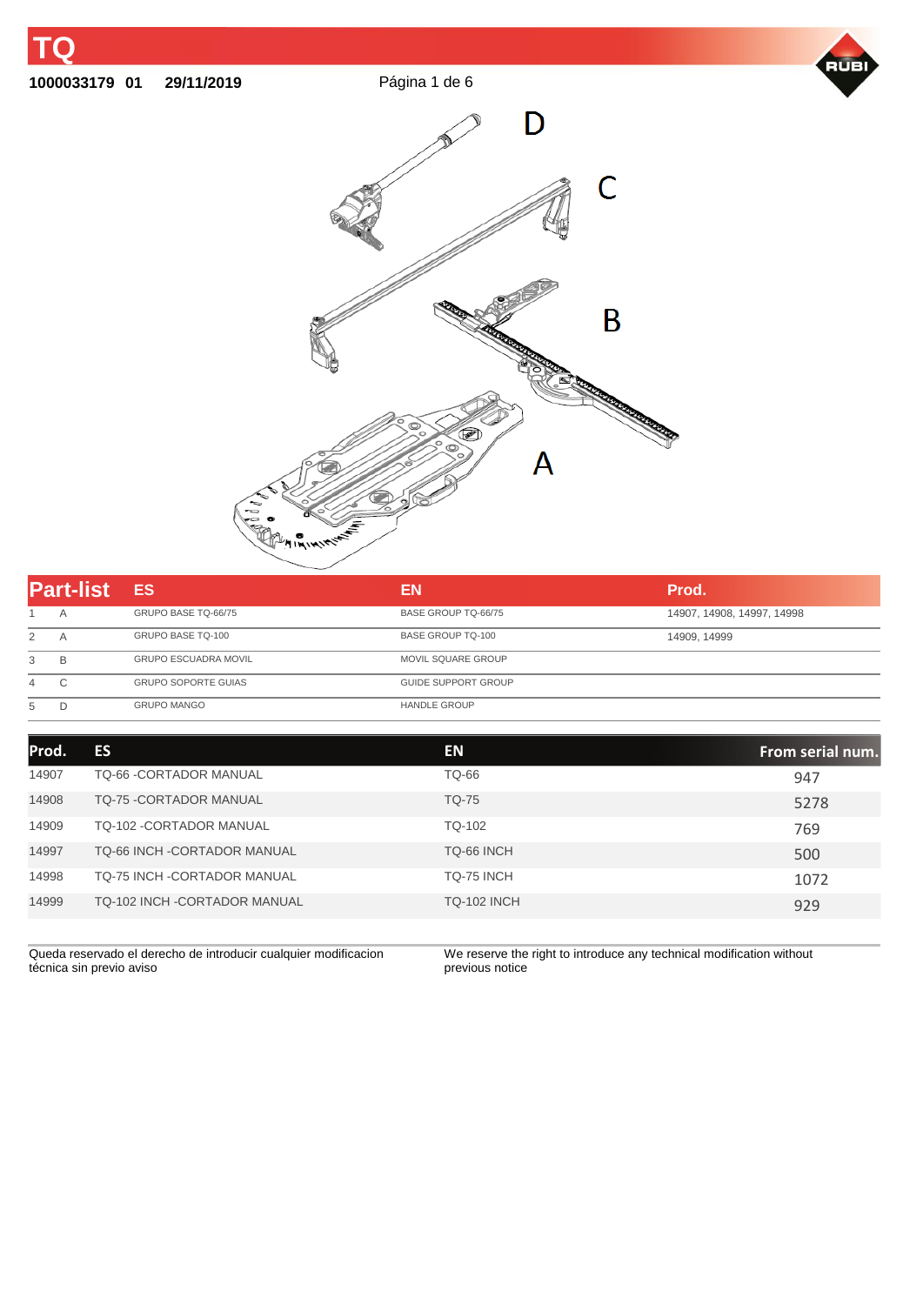

**01 29/11/2019** Página 1 de 6





| <b>Part-list</b> |   | <b>ES</b>                   | EN                         | Prod.                      |
|------------------|---|-----------------------------|----------------------------|----------------------------|
|                  | A | GRUPO BASE TQ-66/75         | BASE GROUP TQ-66/75        | 14907, 14908, 14997, 14998 |
|                  | A | GRUPO BASE TQ-100           | <b>BASE GROUP TQ-100</b>   | 14909, 14999               |
| 3                | в | <b>GRUPO ESCUADRA MOVIL</b> | <b>MOVIL SQUARE GROUP</b>  |                            |
| 4                | С | <b>GRUPO SOPORTE GUIAS</b>  | <b>GUIDE SUPPORT GROUP</b> |                            |
| 5                | D | <b>GRUPO MANGO</b>          | <b>HANDLE GROUP</b>        |                            |

| Prod. | ES                                 | <b>EN</b>          | From serial num. |
|-------|------------------------------------|--------------------|------------------|
| 14907 | <b>TQ-66 -CORTADOR MANUAL</b>      | TQ-66              | 947              |
| 14908 | <b>TQ-75 - CORTADOR MANUAL</b>     | <b>TQ-75</b>       | 5278             |
| 14909 | TQ-102 - CORTADOR MANUAL           | TQ-102             | 769              |
| 14997 | <b>TQ-66 INCH -CORTADOR MANUAL</b> | TQ-66 INCH         | 500              |
| 14998 | <b>TQ-75 INCH -CORTADOR MANUAL</b> | TQ-75 INCH         | 1072             |
| 14999 | TQ-102 INCH - CORTADOR MANUAL      | <b>TQ-102 INCH</b> | 929              |

Queda reservado el derecho de introducir cualquier modificacion técnica sin previo aviso

We reserve the right to introduce any technical modification without previous notice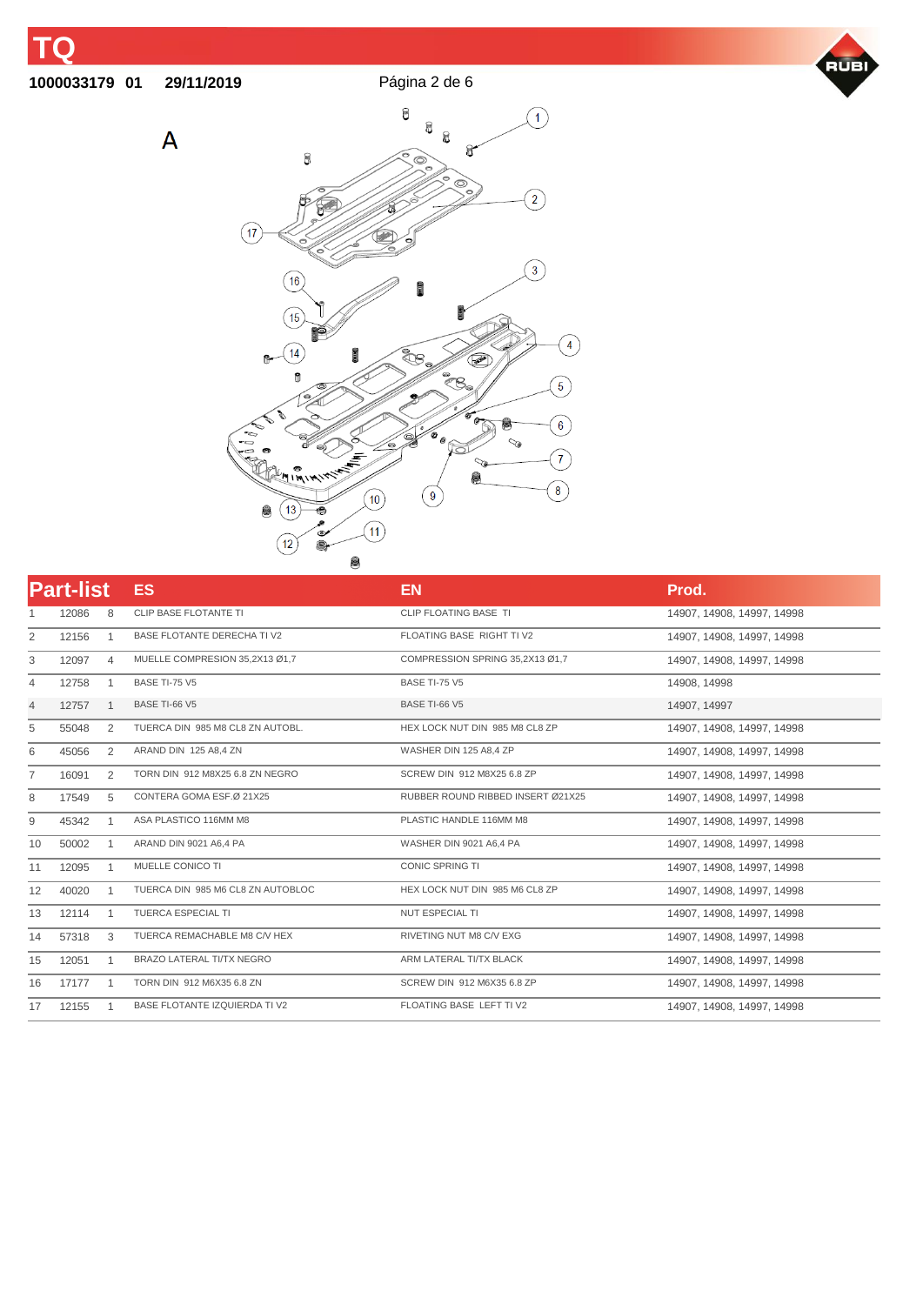## **01 29/11/2019** Página 2 de 6

 $\overline{\mathsf{A}}$ 





| <b>Part-list</b> |       |              | <b>ES</b>                            | <b>EN</b>                         | Prod.                      |
|------------------|-------|--------------|--------------------------------------|-----------------------------------|----------------------------|
|                  | 12086 | 8            | <b>CLIP BASE FLOTANTE TI</b>         | CLIP FLOATING BASE TI             | 14907, 14908, 14997, 14998 |
| 2                | 12156 | $\mathbf{1}$ | <b>BASE FLOTANTE DERECHA TI V2</b>   | FLOATING BASE RIGHT TI V2         | 14907, 14908, 14997, 14998 |
| 3                | 12097 | 4            | MUELLE COMPRESION 35,2X13 Ø1,7       | COMPRESSION SPRING 35,2X13 Ø1,7   | 14907, 14908, 14997, 14998 |
| 4                | 12758 | 1            | <b>BASE TI-75 V5</b>                 | <b>BASE TI-75 V5</b>              | 14908, 14998               |
| 4                | 12757 | 1            | BASE TI-66 V5                        | BASE TI-66 V5                     | 14907, 14997               |
| 5                | 55048 | 2            | TUERCA DIN 985 M8 CL8 ZN AUTOBL.     | HEX LOCK NUT DIN 985 M8 CL8 ZP    | 14907. 14908. 14997. 14998 |
| 6                | 45056 | 2            | ARAND DIN 125 A8,4 ZN                | WASHER DIN 125 A8.4 ZP            | 14907. 14908. 14997. 14998 |
| $\overline{7}$   | 16091 | 2            | TORN DIN 912 M8X25 6.8 ZN NEGRO      | SCREW DIN 912 M8X25 6.8 ZP        | 14907. 14908. 14997. 14998 |
| 8                | 17549 | 5            | CONTERA GOMA ESF.Ø 21X25             | RUBBER ROUND RIBBED INSERT Ø21X25 | 14907. 14908. 14997. 14998 |
| 9                | 45342 | 1            | ASA PLASTICO 116MM M8                | PLASTIC HANDLE 116MM M8           | 14907, 14908, 14997, 14998 |
| 10               | 50002 | $\mathbf 1$  | ARAND DIN 9021 A6,4 PA               | WASHER DIN 9021 A6,4 PA           | 14907, 14908, 14997, 14998 |
| 11               | 12095 | 1            | MUELLE CONICO TI                     | <b>CONIC SPRING TI</b>            | 14907, 14908, 14997, 14998 |
| 12               | 40020 | $\mathbf 1$  | TUERCA DIN 985 M6 CL8 ZN AUTOBLOC    | HEX LOCK NUT DIN 985 M6 CL8 ZP    | 14907, 14908, 14997, 14998 |
| 13               | 12114 | 1            | <b>TUERCA ESPECIAL TI</b>            | <b>NUT ESPECIAL TI</b>            | 14907, 14908, 14997, 14998 |
| 14               | 57318 | 3            | TUERCA REMACHABLE M8 C/V HEX         | RIVETING NUT M8 C/V EXG           | 14907. 14908. 14997. 14998 |
| 15               | 12051 | 1            | <b>BRAZO LATERAL TI/TX NEGRO</b>     | ARM LATERAL TI/TX BLACK           | 14907, 14908, 14997, 14998 |
| 16               | 17177 | 1            | TORN DIN 912 M6X35 6.8 ZN            | SCREW DIN 912 M6X35 6.8 ZP        | 14907, 14908, 14997, 14998 |
| 17               | 12155 |              | <b>BASE FLOTANTE IZQUIERDA TI V2</b> | FLOATING BASE LEFT TI V2          | 14907, 14908, 14997, 14998 |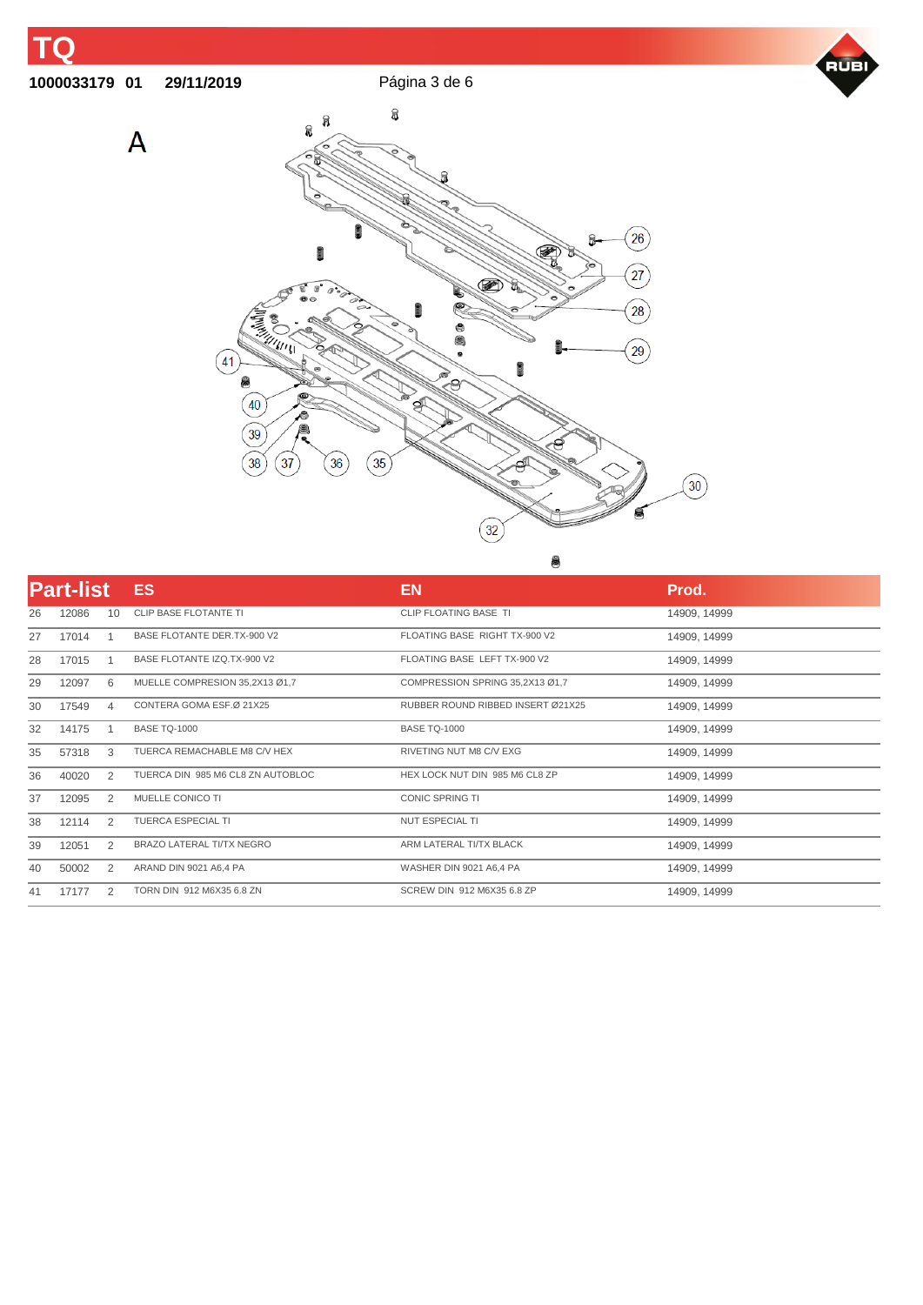**01 29/11/2019** Página 3 de 6

 $\overline{A}$ 





| <b>Part-list</b> |       |    | <b>ES</b>                         | <b>EN</b>                         | Prod.        |  |
|------------------|-------|----|-----------------------------------|-----------------------------------|--------------|--|
| 26               | 12086 | 10 | <b>CLIP BASE FLOTANTE TI</b>      | <b>CLIP FLOATING BASE TI</b>      | 14909, 14999 |  |
| 27               | 17014 |    | BASE FLOTANTE DER.TX-900 V2       | FLOATING BASE RIGHT TX-900 V2     | 14909, 14999 |  |
| 28               | 17015 |    | BASE FLOTANTE IZO TX-900 V2       | FLOATING BASE LEFT TX-900 V2      | 14909, 14999 |  |
| 29               | 12097 | 6  | MUELLE COMPRESION 35,2X13 Ø1,7    | COMPRESSION SPRING 35,2X13 Ø1,7   | 14909, 14999 |  |
| 30               | 17549 | 4  | CONTERA GOMA ESF.Ø 21X25          | RUBBER ROUND RIBBED INSERT Ø21X25 | 14909, 14999 |  |
| 32               | 14175 |    | <b>BASE TQ-1000</b>               | <b>BASE TQ-1000</b>               | 14909, 14999 |  |
| 35               | 57318 | 3  | TUERCA REMACHABLE M8 C/V HEX      | RIVETING NUT M8 C/V EXG           | 14909, 14999 |  |
| 36               | 40020 | 2  | TUERCA DIN 985 M6 CL8 ZN AUTOBLOC | HEX LOCK NUT DIN 985 M6 CL8 ZP    | 14909, 14999 |  |
| 37               | 12095 | 2  | MUELLE CONICO TI                  | <b>CONIC SPRING TI</b>            | 14909, 14999 |  |
| 38               | 12114 | 2  | <b>TUERCA ESPECIAL TI</b>         | <b>NUT ESPECIAL TI</b>            | 14909, 14999 |  |
| 39               | 12051 | 2  | <b>BRAZO LATERAL TI/TX NEGRO</b>  | ARM LATERAL TI/TX BLACK           | 14909, 14999 |  |
| 40               | 50002 | 2  | ARAND DIN 9021 A6,4 PA            | WASHER DIN 9021 A6,4 PA           | 14909, 14999 |  |
| 41               | 17177 | 2  | TORN DIN 912 M6X35 6.8 ZN         | SCREW DIN 912 M6X35 6.8 ZP        | 14909, 14999 |  |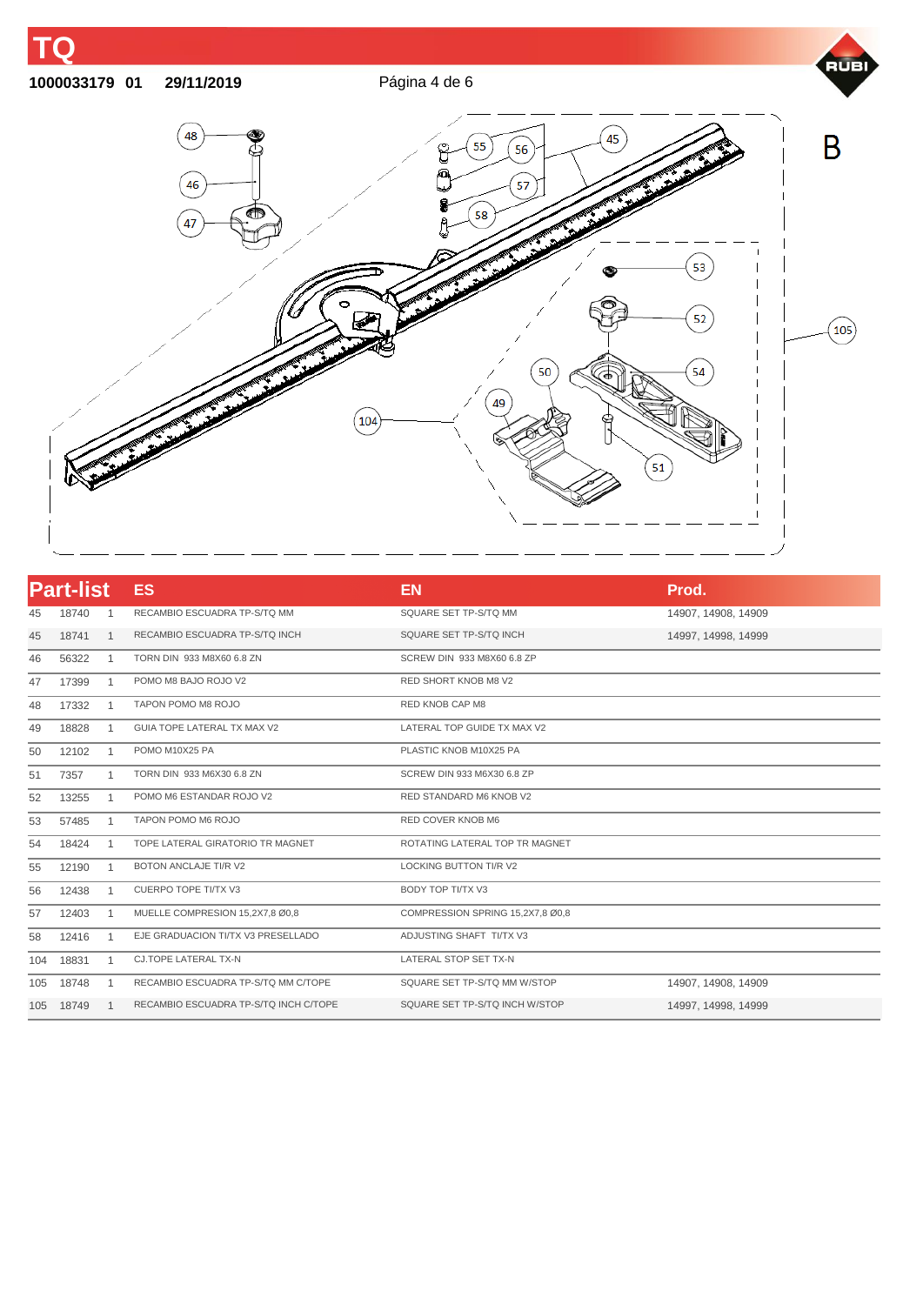## **01 29/11/2019** Página 4 de 6

m



| <b>Part-list</b> |       |              | <b>ES</b>                             | <b>EN</b><br>Prod.               |                     |
|------------------|-------|--------------|---------------------------------------|----------------------------------|---------------------|
| 45               | 18740 | 1            | RECAMBIO ESCUADRA TP-S/TQ MM          | SQUARE SET TP-S/TQ MM            | 14907, 14908, 14909 |
| 45               | 18741 | 1            | RECAMBIO ESCUADRA TP-S/TQ INCH        | SQUARE SET TP-S/TQ INCH          | 14997, 14998, 14999 |
| 46               | 56322 | 1            | TORN DIN 933 M8X60 6.8 ZN             | SCREW DIN 933 M8X60 6.8 ZP       |                     |
| 47               | 17399 | 1            | POMO M8 BAJO ROJO V2                  | <b>RED SHORT KNOB M8 V2</b>      |                     |
| 48               | 17332 | 1            | TAPON POMO M8 ROJO                    | RED KNOB CAP M8                  |                     |
| 49               | 18828 | 1            | GUIA TOPE LATERAL TX MAX V2           | LATERAL TOP GUIDE TX MAX V2      |                     |
| 50               | 12102 | 1            | POMO M10X25 PA                        | PLASTIC KNOB M10X25 PA           |                     |
| 51               | 7357  | 1            | TORN DIN 933 M6X30 6.8 ZN             | SCREW DIN 933 M6X30 6.8 ZP       |                     |
| 52               | 13255 | 1            | POMO M6 ESTANDAR ROJO V2              | RED STANDARD M6 KNOB V2          |                     |
| 53               | 57485 | 1            | TAPON POMO M6 ROJO                    | RED COVER KNOB M6                |                     |
| 54               | 18424 | 1            | TOPE LATERAL GIRATORIO TR MAGNET      | ROTATING LATERAL TOP TR MAGNET   |                     |
| 55               | 12190 | 1            | <b>BOTON ANCLAJE TI/R V2</b>          | <b>LOCKING BUTTON TI/R V2</b>    |                     |
| 56               | 12438 | $\mathbf{1}$ | <b>CUERPO TOPE TI/TX V3</b>           | BODY TOP TI/TX V3                |                     |
| 57               | 12403 | 1            | MUELLE COMPRESION 15,2X7,8 Ø0,8       | COMPRESSION SPRING 15,2X7,8 Ø0,8 |                     |
| 58               | 12416 | 1            | EJE GRADUACION TI/TX V3 PRESELLADO    | ADJUSTING SHAFT TI/TX V3         |                     |
| 104              | 18831 | 1            | CJ.TOPE LATERAL TX-N                  | LATERAL STOP SET TX-N            |                     |
| 105              | 18748 | 1            | RECAMBIO ESCUADRA TP-S/TQ MM C/TOPE   | SQUARE SET TP-S/TQ MM W/STOP     | 14907, 14908, 14909 |
| 105              | 18749 | $\mathbf 1$  | RECAMBIO ESCUADRA TP-S/TQ INCH C/TOPE | SQUARE SET TP-S/TQ INCH W/STOP   | 14997, 14998, 14999 |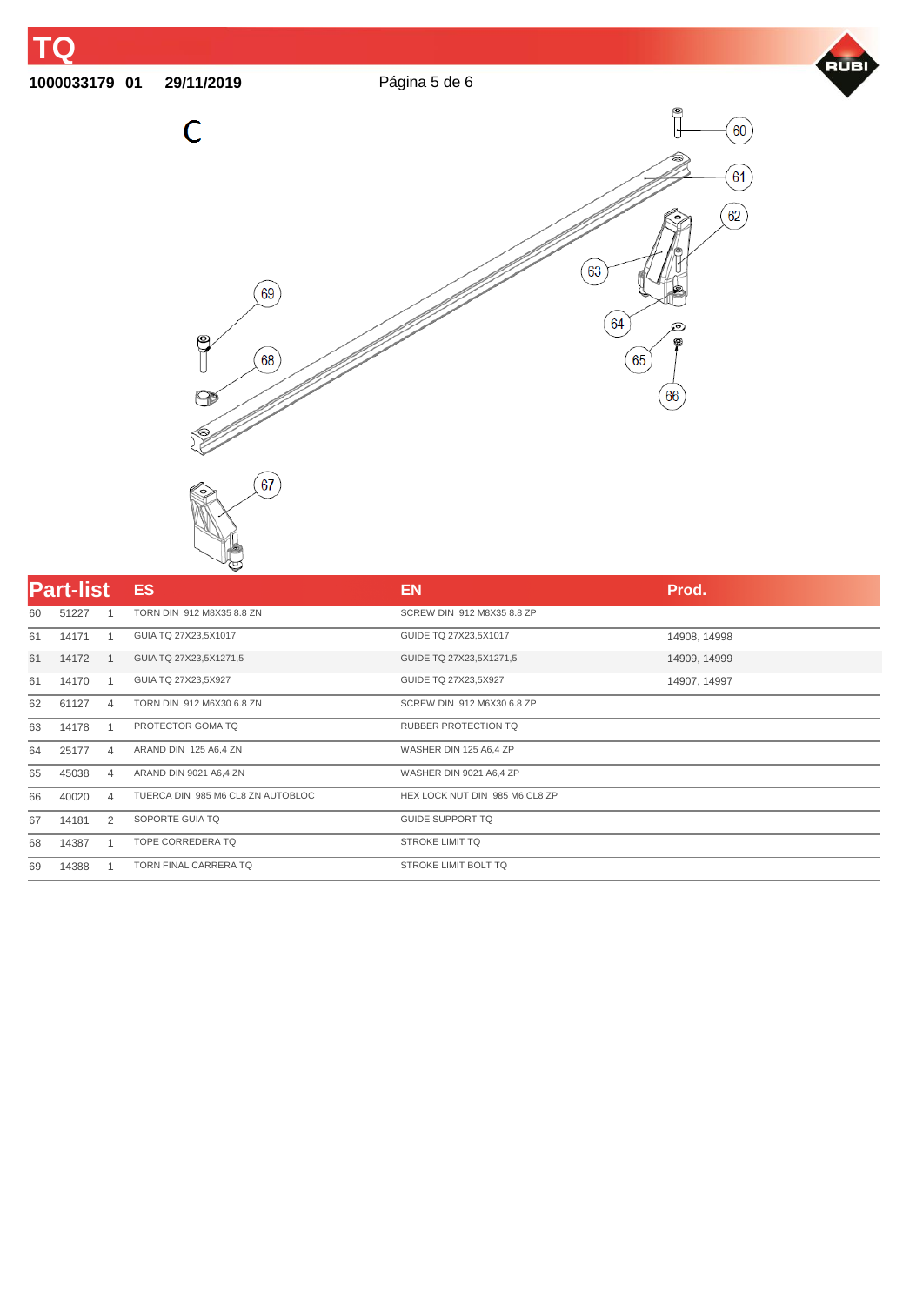## **01 29/11/2019** Página 5 de 6





| <b>Part-list</b> |       |   | <b>ES</b>                         | <b>EN</b>                      | Prod.        |
|------------------|-------|---|-----------------------------------|--------------------------------|--------------|
| 60               | 51227 |   | TORN DIN 912 M8X35 8.8 ZN         | SCREW DIN 912 M8X35 8.8 ZP     |              |
| 61               | 14171 |   | GUIA TQ 27X23,5X1017              | GUIDE TQ 27X23,5X1017          | 14908, 14998 |
| 61               | 14172 |   | GUIA TQ 27X23,5X1271,5            | GUIDE TQ 27X23,5X1271,5        | 14909, 14999 |
| 61               | 14170 |   | GUIA TQ 27X23,5X927               | GUIDE TQ 27X23,5X927           | 14907, 14997 |
| 62               | 61127 | 4 | TORN DIN 912 M6X30 6.8 ZN         | SCREW DIN 912 M6X30 6.8 ZP     |              |
| 63               | 14178 |   | PROTECTOR GOMA TO                 | <b>RUBBER PROTECTION TO</b>    |              |
| 64               | 25177 | 4 | ARAND DIN 125 A6,4 ZN             | WASHER DIN 125 A6,4 ZP         |              |
| 65               | 45038 | 4 | ARAND DIN 9021 A6,4 ZN            | WASHER DIN 9021 A6,4 ZP        |              |
| 66               | 40020 | 4 | TUERCA DIN 985 M6 CL8 ZN AUTOBLOC | HEX LOCK NUT DIN 985 M6 CL8 ZP |              |
| 67               | 14181 | 2 | SOPORTE GUIA TO                   | <b>GUIDE SUPPORT TO</b>        |              |
| 68               | 14387 |   | TOPE CORREDERA TQ                 | <b>STROKE LIMIT TQ</b>         |              |
| 69               | 14388 |   | <b>TORN FINAL CARRERA TQ</b>      | STROKE LIMIT BOLT TQ           |              |